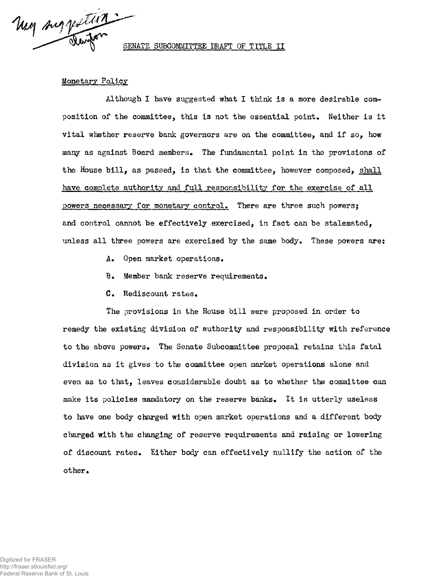May suggestion

SENATE SUBCOMMITTEE DRAFT OF TITLE II

## Monetary Policy

Although I have suggested what I think is a more desirable composition of the committee, this is not the essential point. Neither is it vital whether reserve bank governors are on the committee, and if so, how many as against Board members. The fundamental point in the provisions of the House bill, as passed, is that the committee, however composed, shall have complete authority and full responsibility for the exercise of all powers necessary for monetary control. There are three such powers: and control cannot be effectively exercised, in fact can be stalemated, unless all three powers are exercised by the same body. These powers are:

- A. Open market operations.
- B. Member bank reserve requirements.
- C. Rediscount rates.

The provisions in the House bill were proposed in order to remedy the existing division of authority and responsibility with reference to the above powers. The Senate Subcommittee proposal retains this fatal division as it gives to the committee open market operations alone and even as to that, leaves considerable doubt as to whether the committee can make its policies mandatory on the reserve banks. It is utterly useless to have one body charged with open market operations and a different body charged with the changing of reserve requirements and raising or lowering of discount rates. Either body can effectively nullify the action of the other.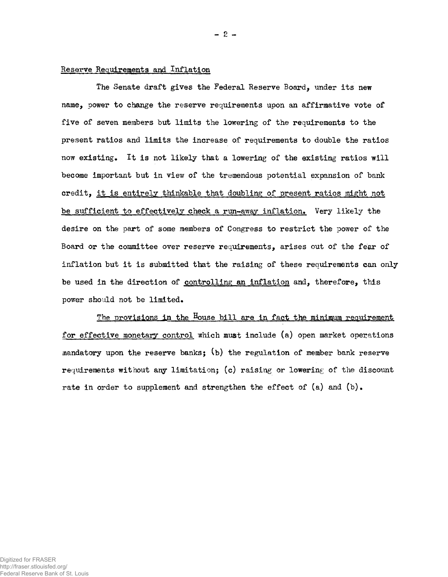## Reserve Requirements and Inflation

The Senate draft gives the Federal Reserve Board, under its new name, power to change the reserve requirements upon an affirmative vote of five of seven members but limits the lowering of the requirements to the present ratios and limits the increase of requirements to double the ratios now existing. It is not likely that a lowering of the existing ratios will become important but in view of the tremendous potential expansion of bank credit, it is entirely thinkable that doubling of present ratios might not be sufficient to effectively check a run-away inflation. Very likely the desire on the part of some members of Congress to restrict the power of the Board or the committee over reserve requirements, arises out of the fear of inflation but it is submitted that the raising of these requirements can only be used in the direction of controlling an inflation and, therefore, this power should not be limited.

The provisions in the House bill are in fact the minimum requirement for effective monetary control which must include (a) open market operations mandatory upon the reserve banks;  $(b)$  the regulation of member bank reserve requirements without any limitation; (c) raising or lowering of the discount rate in order to supplement and strengthen the effect of  $(a)$  and  $(b)$ .

— 2 —